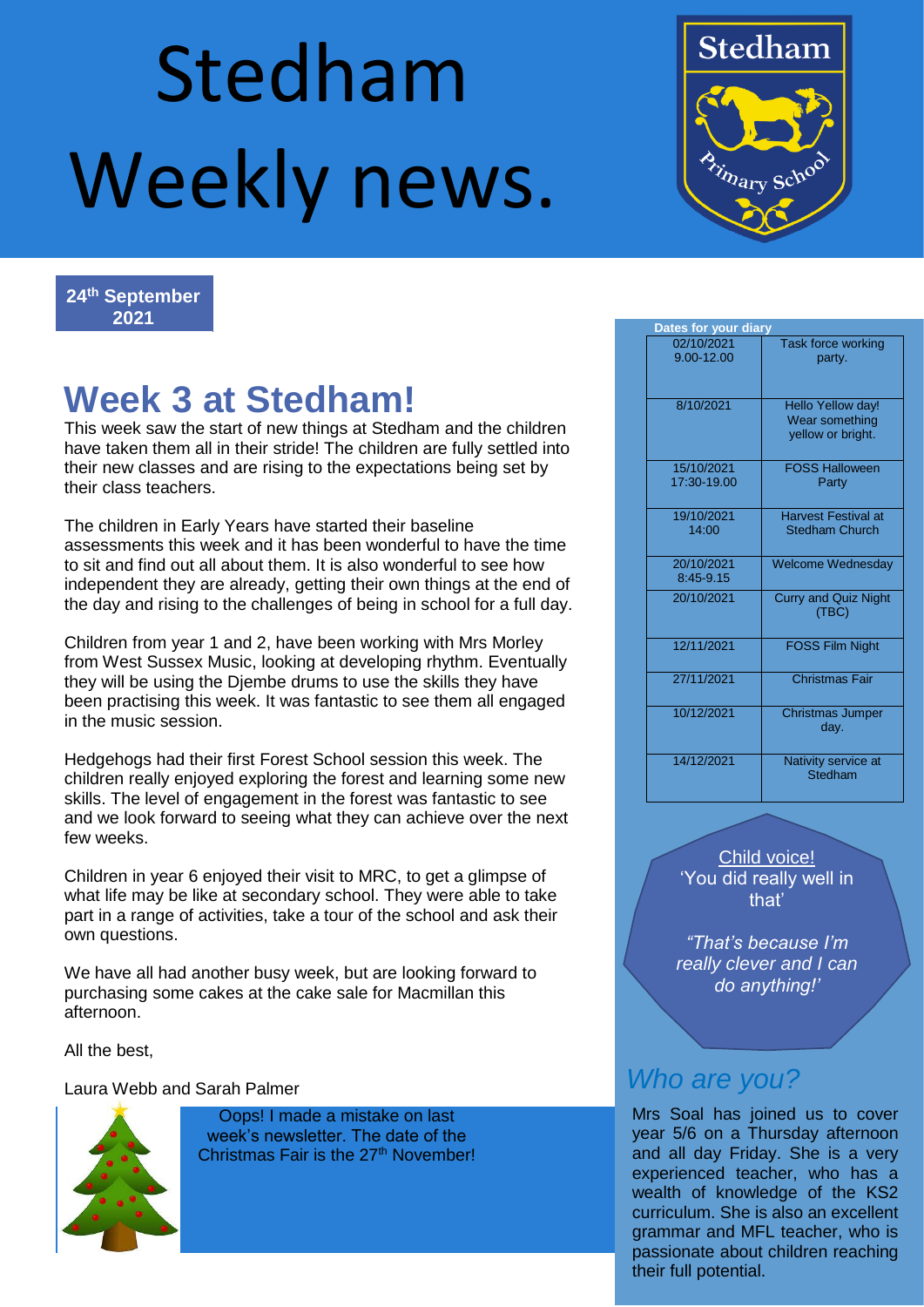# Stedham Weekly news.



**24th September 2021**

## **Week 3 at Stedham!**

This week saw the start of new things at Stedham and the children have taken them all in their stride! The children are fully settled into their new classes and are rising to the expectations being set by their class teachers.

The children in Early Years have started their baseline assessments this week and it has been wonderful to have the time to sit and find out all about them. It is also wonderful to see how independent they are already, getting their own things at the end of the day and rising to the challenges of being in school for a full day.

Children from year 1 and 2, have been working with Mrs Morley from West Sussex Music, looking at developing rhythm. Eventually they will be using the Djembe drums to use the skills they have been practising this week. It was fantastic to see them all engaged in the music session.

Hedgehogs had their first Forest School session this week. The children really enjoyed exploring the forest and learning some new skills. The level of engagement in the forest was fantastic to see and we look forward to seeing what they can achieve over the next few weeks.

Children in year 6 enjoyed their visit to MRC, to get a glimpse of what life may be like at secondary school. They were able to take part in a range of activities, take a tour of the school and ask their own questions.

We have all had another busy week, but are looking forward to purchasing some cakes at the cake sale for Macmillan this afternoon.

All the best,

Laura Webb and Sarah Palmer



Oops! I made a mistake on last week's newsletter. The date of the Christmas Fair is the 27<sup>th</sup> November!

| Dates for your diary |                           |                                                          |
|----------------------|---------------------------|----------------------------------------------------------|
|                      | 02/10/2021<br>9.00-12.00  | Task force working<br>party.                             |
|                      | 8/10/2021                 | Hello Yellow day!<br>Wear something<br>yellow or bright. |
|                      | 15/10/2021<br>17:30-19.00 | <b>FOSS Halloween</b><br>Party                           |
|                      | 19/10/2021<br>14:00       | <b>Harvest Festival at</b><br><b>Stedham Church</b>      |
|                      | 20/10/2021<br>8:45-9.15   | <b>Welcome Wednesday</b>                                 |
|                      | 20/10/2021                | <b>Curry and Quiz Night</b><br>(TBC)                     |
|                      | 12/11/2021                | <b>FOSS Film Night</b>                                   |
|                      | 27/11/2021                | Christmas Fair                                           |
|                      | 10/12/2021                | <b>Christmas Jumper</b><br>day.                          |
|                      | 14/12/2021                | Nativity service at<br><b>Stedham</b>                    |

Child voice! 'You did really well in that'

*"That's because I'm really clever and I can do anything!'*

#### *Who are you?*

Mrs Soal has joined us to cover year 5/6 on a Thursday afternoon and all day Friday. She is a very experienced teacher, who has a wealth of knowledge of the KS2 curriculum. She is also an excellent grammar and MFL teacher, who is passionate about children reaching their full potential.